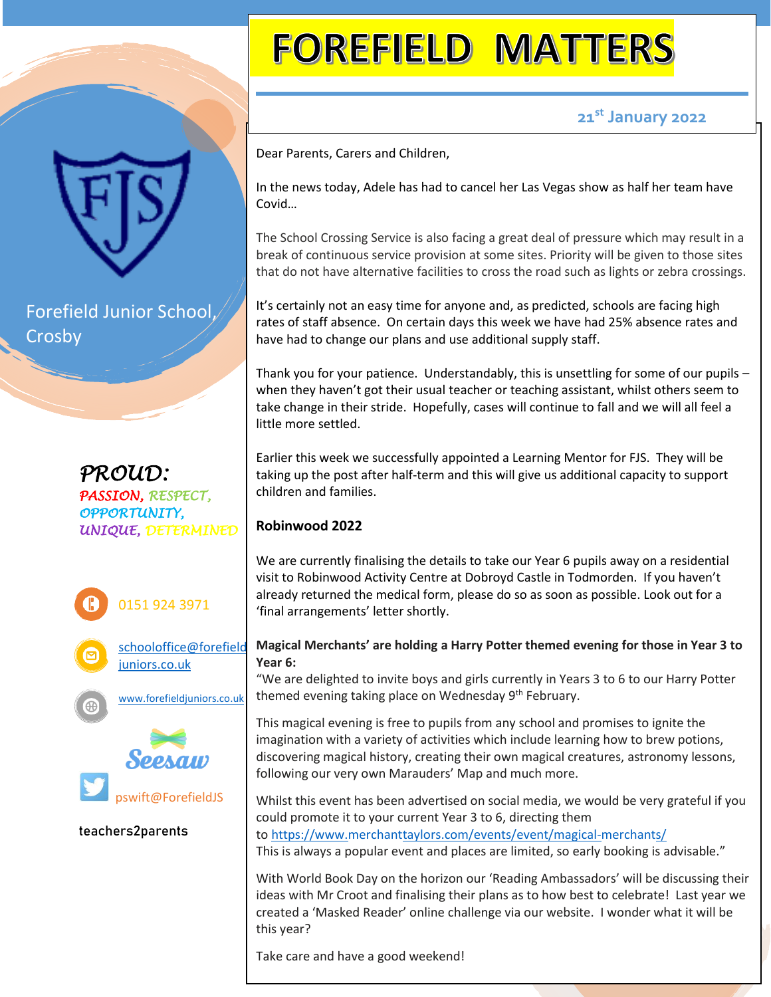Forefield Junior School, Crosby









**teachers2parents**

# **FOREFIELD MATTERS**

## **21st January 2022**

Dear Parents, Carers and Children,

In the news today, Adele has had to cancel her Las Vegas show as half her team have Covid…

The School Crossing Service is also facing a great deal of pressure which may result in a break of continuous service provision at some sites. Priority will be given to those sites that do not have alternative facilities to cross the road such as lights or zebra crossings.

It's certainly not an easy time for anyone and, as predicted, schools are facing high rates of staff absence. On certain days this week we have had 25% absence rates and have had to change our plans and use additional supply staff.

Thank you for your patience. Understandably, this is unsettling for some of our pupils – when they haven't got their usual teacher or teaching assistant, whilst others seem to take change in their stride. Hopefully, cases will continue to fall and we will all feel a little more settled.

Earlier this week we successfully appointed a Learning Mentor for FJS. They will be taking up the post after half-term and this will give us additional capacity to support children and families.

### **Robinwood 2022**

We are currently finalising the details to take our Year 6 pupils away on a residential visit to Robinwood Activity Centre at Dobroyd Castle in Todmorden. If you haven't already returned the medical form, please do so as soon as possible. Look out for a 'final arrangements' letter shortly.

#### **Magical Merchants' are holding a Harry Potter themed evening for those in Year 3 to Year 6:**

"We are delighted to invite boys and girls currently in Years 3 to 6 to our Harry Potter themed evening taking place on Wednesday 9<sup>th</sup> February.

This magical evening is free to pupils from any school and promises to ignite the imagination with a variety of activities which include learning how to brew potions, discovering magical history, creating their own magical creatures, astronomy lessons, following our very own Marauders' Map and much more.

Whilst this event has been advertised on social media, we would be very grateful if you could promote it to your current Year 3 to 6, directing them to <https://www.merchanttaylors.com/events/event/magical-merchants/>

This is always a popular event and places are limited, so early booking is advisable."

With World Book Day on the horizon our 'Reading Ambassadors' will be discussing their ideas with Mr Croot and finalising their plans as to how best to celebrate! Last year we created a 'Masked Reader' online challenge via our website. I wonder what it will be this year?

Take care and have a good weekend!